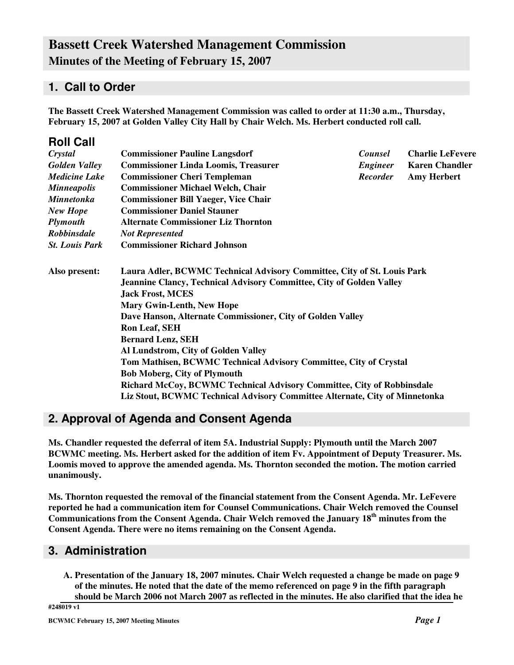# **Bassett Creek Watershed Management Commission Minutes of the Meeting of February 15, 2007**

### **1. Call to Order**

**Roll Call**

**The Bassett Creek Watershed Management Commission was called to order at 11:30 a.m., Thursday, February 15, 2007 at Golden Valley City Hall by Chair Welch. Ms. Herbert conducted roll call.**

| <b>ROIL CAIL</b>      |                                                                                                                                                                                                                                                                                                                                                                                                                                                                                                                                                                      |                 |                         |  |  |                                                                             |  |  |
|-----------------------|----------------------------------------------------------------------------------------------------------------------------------------------------------------------------------------------------------------------------------------------------------------------------------------------------------------------------------------------------------------------------------------------------------------------------------------------------------------------------------------------------------------------------------------------------------------------|-----------------|-------------------------|--|--|-----------------------------------------------------------------------------|--|--|
| Crystal               | <b>Commissioner Pauline Langsdorf</b>                                                                                                                                                                                                                                                                                                                                                                                                                                                                                                                                | <b>Counsel</b>  | <b>Charlie LeFevere</b> |  |  |                                                                             |  |  |
| <b>Golden Valley</b>  | <b>Commissioner Linda Loomis, Treasurer</b>                                                                                                                                                                                                                                                                                                                                                                                                                                                                                                                          | Engineer        | <b>Karen Chandler</b>   |  |  |                                                                             |  |  |
| <b>Medicine Lake</b>  | <b>Commissioner Cheri Templeman</b>                                                                                                                                                                                                                                                                                                                                                                                                                                                                                                                                  | <b>Recorder</b> | <b>Amy Herbert</b>      |  |  |                                                                             |  |  |
| <b>Minneapolis</b>    | <b>Commissioner Michael Welch, Chair</b>                                                                                                                                                                                                                                                                                                                                                                                                                                                                                                                             |                 |                         |  |  |                                                                             |  |  |
| <b>Minnetonka</b>     | <b>Commissioner Bill Yaeger, Vice Chair</b><br><b>Commissioner Daniel Stauner</b><br><b>Alternate Commissioner Liz Thornton</b><br><b>Not Represented</b>                                                                                                                                                                                                                                                                                                                                                                                                            |                 |                         |  |  |                                                                             |  |  |
| <b>New Hope</b>       |                                                                                                                                                                                                                                                                                                                                                                                                                                                                                                                                                                      |                 |                         |  |  |                                                                             |  |  |
| <b>Plymouth</b>       |                                                                                                                                                                                                                                                                                                                                                                                                                                                                                                                                                                      |                 |                         |  |  |                                                                             |  |  |
| Robbinsdale           |                                                                                                                                                                                                                                                                                                                                                                                                                                                                                                                                                                      |                 |                         |  |  |                                                                             |  |  |
| <b>St. Louis Park</b> | <b>Commissioner Richard Johnson</b>                                                                                                                                                                                                                                                                                                                                                                                                                                                                                                                                  |                 |                         |  |  |                                                                             |  |  |
| Also present:         | Laura Adler, BCWMC Technical Advisory Committee, City of St. Louis Park<br><b>Jeannine Clancy, Technical Advisory Committee, City of Golden Valley</b><br><b>Jack Frost, MCES</b><br><b>Mary Gwin-Lenth, New Hope</b><br>Dave Hanson, Alternate Commissioner, City of Golden Valley<br><b>Ron Leaf, SEH</b><br><b>Bernard Lenz, SEH</b><br>Al Lundstrom, City of Golden Valley<br>Tom Mathisen, BCWMC Technical Advisory Committee, City of Crystal<br><b>Bob Moberg, City of Plymouth</b><br>Richard McCoy, BCWMC Technical Advisory Committee, City of Robbinsdale |                 |                         |  |  |                                                                             |  |  |
|                       |                                                                                                                                                                                                                                                                                                                                                                                                                                                                                                                                                                      |                 |                         |  |  | Liz Stout, BCWMC Technical Advisory Committee Alternate, City of Minnetonka |  |  |
|                       |                                                                                                                                                                                                                                                                                                                                                                                                                                                                                                                                                                      |                 |                         |  |  |                                                                             |  |  |

## **2. Approval of Agenda and Consent Agenda**

**Ms. Chandler requested the deferral of item 5A. Industrial Supply: Plymouth until the March 2007 BCWMC meeting. Ms. Herbert asked for the addition of item Fv. Appointment of Deputy Treasurer. Ms. Loomis moved to approve the amended agenda. Ms. Thornton seconded the motion. The motion carried unanimously.**

**Ms. Thornton requested the removal of the financial statement from the Consent Agenda. Mr. LeFevere reported he had a communication item for Counsel Communications. Chair Welch removed the Counsel Communications from the Consent Agenda. Chair Welch removed the January 18 th minutes from the Consent Agenda. There were no items remaining on the Consent Agenda.**

### **3. Administration**

**A. Presentation of the January 18, 2007 minutes. Chair Welch requested a change be made on page 9** of the minutes. He noted that the date of the memo referenced on page 9 in the fifth paragraph should be March 2006 not March 2007 as reflected in the minutes. He also clarified that the idea he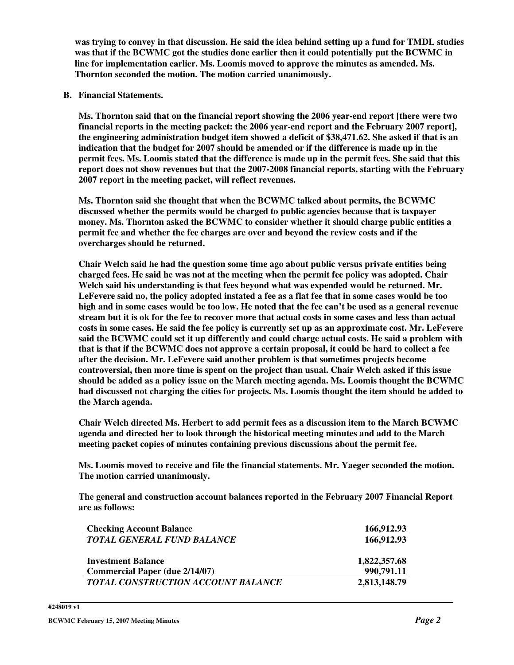was trying to convey in that discussion. He said the idea behind setting up a fund for TMDL studies **was that if the BCWMC got the studies done earlier then it could potentially put the BCWMC in line for implementation earlier. Ms. Loomis moved to approve the minutes as amended. Ms. Thornton seconded the motion. The motion carried unanimously.**

**B. Financial Statements.**

**Ms. Thornton said that on the financial report showing the 2006 year-end report [there were two financial reports in the meeting packet: the 2006 year-end report and the February 2007 report], the engineering administration budget item showed a deficit of \$38,471.62. She asked if that is an indication that the budget for 2007 should be amended or if the difference is made up in the** permit fees. Ms. Loomis stated that the difference is made up in the permit fees. She said that this **report does not show revenues but that the 2007-2008 financial reports, starting with the February 2007 report in the meeting packet, will reflect revenues.**

**Ms. Thornton said she thought that when the BCWMC talked about permits, the BCWMC discussed whether the permits would be charged to public agencies because that is taxpayer money. Ms. Thornton asked the BCWMC to consider whether it should charge public entities a permit fee and whether the fee charges are over and beyond the review costs and if the overcharges should be returned.**

**Chair Welch said he had the question some time ago about public versus private entities being charged fees. He said he was not at the meeting when the permit fee policy was adopted. Chair Welch said his understanding is that fees beyond what was expended would be returned. Mr.** LeFevere said no, the policy adopted instated a fee as a flat fee that in some cases would be too high and in some cases would be too low. He noted that the fee can't be used as a general revenue stream but it is ok for the fee to recover more that actual costs in some cases and less than actual costs in some cases. He said the fee policy is currently set up as an approximate cost. Mr. LeFevere **said the BCWMC could set it up differently and could charge actual costs. He said a problem with** that is that if the BCWMC does not approve a certain proposal, it could be hard to collect a fee **after the decision. Mr. LeFevere said another problem is that sometimes projects become controversial, then more time is spent on the project than usual. Chair Welch asked if this issue should be added as a policy issue on the March meeting agenda. Ms. Loomis thought the BCWMC had discussed not charging the cities for projects. Ms. Loomis thought the item should be added to the March agenda.**

**Chair Welch directed Ms. Herbert to add permit fees as a discussion item to the March BCWMC agenda and directed her to look through the historical meeting minutes and add to the March meeting packet copies of minutes containing previous discussions about the permit fee.**

**Ms. Loomis moved to receive and file the financial statements. Mr. Yaeger seconded the motion. The motion carried unanimously.**

**The general and construction account balances reported in the February 2007 Financial Report are as follows:**

| <b>Checking Account Balance</b>           | 166,912.93   |
|-------------------------------------------|--------------|
| <b>TOTAL GENERAL FUND BALANCE</b>         | 166,912.93   |
| <b>Investment Balance</b>                 | 1,822,357.68 |
| <b>Commercial Paper (due 2/14/07)</b>     | 990,791.11   |
| <b>TOTAL CONSTRUCTION ACCOUNT BALANCE</b> | 2,813,148.79 |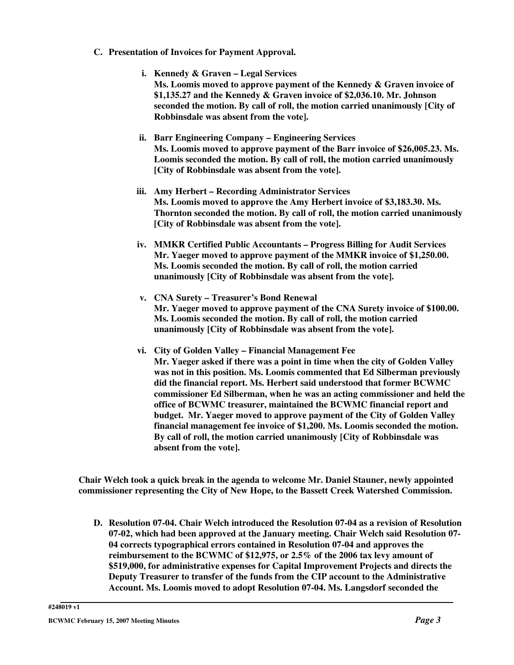- **C. Presentation of Invoices for Payment Approval.**
	- **i. Kennedy & Graven – Legal Services Ms. Loomis moved to approve payment of the Kennedy & Graven invoice of \$1,135.27 and the Kennedy & Graven invoice of \$2,036.10. Mr. Johnson seconded the motion. By call of roll, the motion carried unanimously [City of Robbinsdale was absent from the vote].**
	- **ii. Barr Engineering Company – Engineering Services Ms. Loomis moved to approve payment of the Barr invoice of \$26,005.23. Ms. Loomis seconded the motion. By call of roll, the motion carried unanimously [City of Robbinsdale was absent from the vote].**
	- **iii. Amy Herbert – Recording Administrator Services Ms. Loomis moved to approve the Amy Herbert invoice of \$3,183.30. Ms. Thornton seconded the motion. By call of roll, the motion carried unanimously [City of Robbinsdale was absent from the vote].**
	- **iv. MMKR Certified Public Accountants – Progress Billing for Audit Services Mr. Yaeger moved to approve payment of the MMKR invoice of \$1,250.00. Ms. Loomis seconded the motion. By call of roll, the motion carried unanimously [City of Robbinsdale was absent from the vote].**
	- **v. CNA Surety – Treasurer's Bond Renewal Mr. Yaeger moved to approve payment of the CNA Surety invoice of \$100.00. Ms. Loomis seconded the motion. By call of roll, the motion carried unanimously [City of Robbinsdale was absent from the vote].**
	- **vi. City of Golden Valley – Financial Management Fee Mr. Yaeger asked if there was a point in time when the city of Golden Valley was not in this position. Ms. Loomis commented that Ed Silberman previously did the financial report. Ms. Herbert said understood that former BCWMC commissioner Ed Silberman, when he was an acting commissioner and held the office of BCWMC treasurer, maintained the BCWMC financial report and budget. Mr. Yaeger moved to approve payment of the City of Golden Valley financial management fee invoice of \$1,200. Ms. Loomis seconded the motion. By call of roll, the motion carried unanimously [City of Robbinsdale was absent from the vote].**

**Chair Welch took a quick break in the agenda to welcome Mr. Daniel Stauner, newly appointed commissioner representing the City of New Hope, to the Bassett Creek Watershed Commission.**

**D. Resolution 07-04. Chair Welch introduced the Resolution 07-04 as a revision of Resolution 07-02, which had been approved at the January meeting. Chair Welch said Resolution 07- 04 corrects typographical errors contained in Resolution 07-04 and approves the reimbursement to the BCWMC of \$12,975, or 2.5% of the 2006 tax levy amount of \$519,000, for administrative expenses for Capital Improvement Projects and directs the Deputy Treasurer to transfer of the funds from the CIP account to the Administrative Account. Ms. Loomis moved to adopt Resolution 07-04. Ms. Langsdorf seconded the**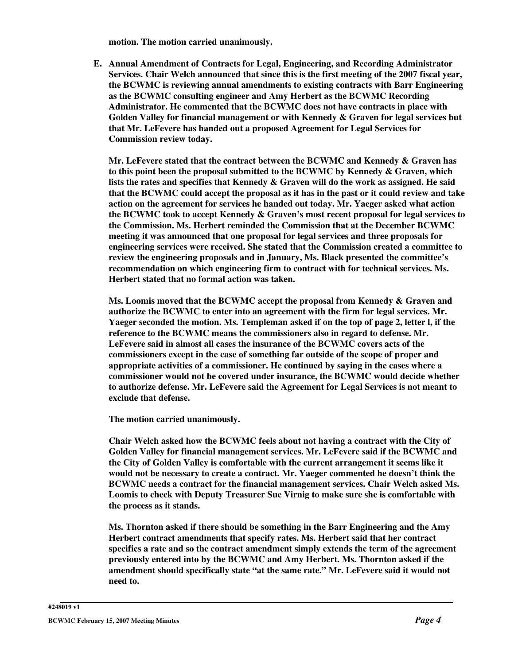**motion. The motion carried unanimously.**

**E. Annual Amendment of Contracts for Legal, Engineering, and Recording Administrator Services. Chair Welch announced that since this is the first meeting of the 2007 fiscal year, the BCWMC is reviewing annual amendments to existing contracts with Barr Engineering as the BCWMC consulting engineer and Amy Herbert as the BCWMC Recording Administrator. He commented that the BCWMC does not have contracts in place with Golden Valley for financial management or with Kennedy & Graven for legal services but that Mr. LeFevere has handed out a proposed Agreement for Legal Services for Commission review today.**

**Mr. LeFevere stated that the contract between the BCWMC and Kennedy & Graven has to this point been the proposal submitted to the BCWMC by Kennedy & Graven, which lists the rates and specifies that Kennedy & Graven will do the work as assigned. He said that the BCWMC could accept the proposal as it has in the past or it could review and take action on the agreement for services he handed out today. Mr. Yaeger asked what action the BCWMC took to accept Kennedy & Graven's most recent proposal for legal services to the Commission. Ms. Herbert reminded the Commission that at the December BCWMC meeting it was announced that one proposal for legal services and three proposals for engineering services were received. She stated that the Commission created a committee to review the engineering proposals and in January, Ms. Black presented the committee's recommendation on which engineering firm to contract with for technical services. Ms. Herbert stated that no formal action was taken.**

**Ms. Loomis moved that the BCWMC accept the proposal from Kennedy & Graven and authorize the BCWMC to enter into an agreement with the firm for legal services. Mr. Yaeger seconded the motion. Ms. Templeman asked if on the top of page 2, letter l, if the reference to the BCWMC means the commissioners also in regard to defense. Mr. LeFevere said in almost all cases the insurance of the BCWMC covers acts of the commissioners except in the case of something far outside of the scope of proper and appropriate activities of a commissioner. He continued by saying in the cases where a commissioner would not be covered under insurance, the BCWMC would decide whether to authorize defense. Mr. LeFevere said the Agreement for Legal Services is not meant to exclude that defense.**

**The motion carried unanimously.**

**Chair Welch asked how the BCWMC feels about not having a contract with the City of Golden Valley for financial management services. Mr. LeFevere said if the BCWMC and the City of Golden Valley is comfortable with the current arrangement it seems like it would not be necessary to create a contract. Mr. Yaeger commented he doesn't think the BCWMC needs a contract for the financial management services. Chair Welch asked Ms. Loomis to check with Deputy Treasurer Sue Virnig to make sure she is comfortable with the process as it stands.**

**Ms. Thornton asked if there should be something in the Barr Engineering and the Amy Herbert contract amendments that specify rates. Ms. Herbert said that her contract specifies a rate and so the contract amendment simply extends the term of the agreement previously entered into by the BCWMC and Amy Herbert. Ms. Thornton asked if the amendment should specifically state "at the same rate." Mr. LeFevere said it would not need to.**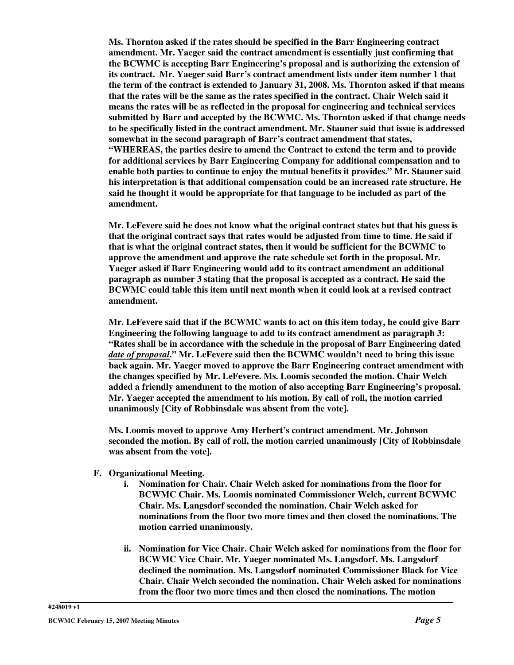**Ms. Thornton asked if the rates should be specified in the Barr Engineering contract amendment. Mr. Yaeger said the contract amendment is essentially just confirming that the BCWMC is accepting Barr Engineering's proposal and is authorizing the extension of its contract. Mr. Yaeger said Barr's contract amendment lists under item number 1 that the term of the contract is extended to January 31, 2008. Ms. Thornton asked if that means that the rates will be the same as the rates specified in the contract. Chair Welch said it means the rates will be as reflected in the proposal for engineering and technical services submitted by Barr and accepted by the BCWMC. Ms. Thornton asked if that change needs to be specifically listed in the contract amendment. Mr. Stauner said that issue is addressed somewhat in the second paragraph of Barr's contract amendment that states, "WHEREAS, the parties desire to amend the Contract to extend the term and to provide for additional services by Barr Engineering Company for additional compensation and to enable both parties to continue to enjoy the mutual benefits it provides." Mr. Stauner said his interpretation is that additional compensation could be an increased rate structure. He said he thought it would be appropriate for that language to be included as part of the amendment.**

**Mr. LeFevere said he does not know what the original contract states but that his guess is that the original contract says that rates would be adjusted from time to time. He said if that is what the original contract states, then it would be sufficient for the BCWMC to approve the amendment and approve the rate schedule set forth in the proposal. Mr. Yaeger asked if Barr Engineering would add to its contract amendment an additional paragraph as number 3 stating that the proposal is accepted as a contract. He said the BCWMC could table this item until next month when it could look at a revised contract amendment.**

**Mr. LeFevere said that if the BCWMC wants to act on this item today, he could give Barr Engineering the following language to add to its contract amendment as paragraph 3: "Rates shall be in accordance with the schedule in the proposal of Barr Engineering dated** *date of proposal***." Mr. LeFevere said then the BCWMC wouldn't need to bring this issue back again. Mr. Yaeger moved to approve the Barr Engineering contract amendment with the changes specified by Mr. LeFevere. Ms. Loomis seconded the motion. Chair Welch added a friendly amendment to the motion of also accepting Barr Engineering's proposal. Mr. Yaeger accepted the amendment to his motion. By call of roll, the motion carried unanimously [City of Robbinsdale was absent from the vote].**

**Ms. Loomis moved to approve Amy Herbert's contract amendment. Mr. Johnson seconded the motion. By call of roll, the motion carried unanimously [City of Robbinsdale was absent from the vote].**

- **F. Organizational Meeting.**
	- **i. Nomination for Chair. Chair Welch asked for nominations from the floor for BCWMC Chair. Ms. Loomis nominated Commissioner Welch, current BCWMC Chair. Ms. Langsdorf seconded the nomination. Chair Welch asked for nominations from the floor two more times and then closed the nominations. The motion carried unanimously.**
	- **ii. Nomination for Vice Chair. Chair Welch asked for nominations from the floor for BCWMC Vice Chair. Mr. Yaeger nominated Ms. Langsdorf. Ms. Langsdorf declined the nomination. Ms. Langsdorf nominated Commissioner Black for Vice Chair. Chair Welch seconded the nomination. Chair Welch asked for nominations from the floor two more times and then closed the nominations. The motion**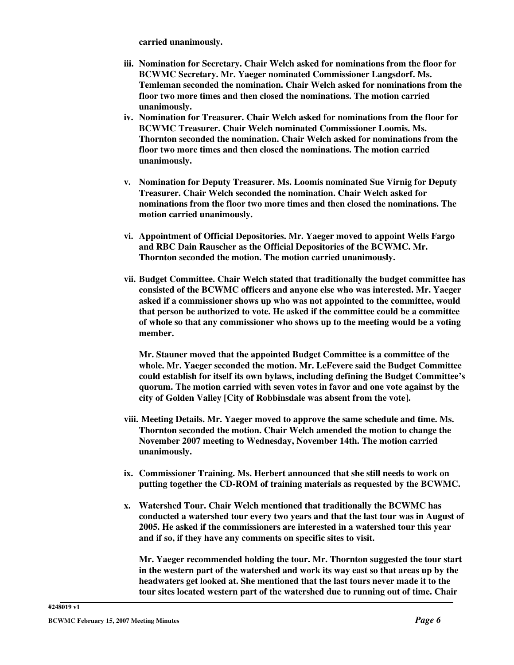**carried unanimously.**

- **iii. Nomination for Secretary. Chair Welch asked for nominations from the floor for BCWMC Secretary. Mr. Yaeger nominated Commissioner Langsdorf. Ms. Temleman seconded the nomination. Chair Welch asked for nominations from the floor two more times and then closed the nominations. The motion carried unanimously.**
- **iv. Nomination for Treasurer. Chair Welch asked for nominations from the floor for BCWMC Treasurer. Chair Welch nominated Commissioner Loomis. Ms. Thornton seconded the nomination. Chair Welch asked for nominations from the floor two more times and then closed the nominations. The motion carried unanimously.**
- **v. Nomination for Deputy Treasurer. Ms. Loomis nominated Sue Virnig for Deputy Treasurer. Chair Welch seconded the nomination. Chair Welch asked for nominations from the floor two more times and then closed the nominations. The motion carried unanimously.**
- **vi. Appointment of Official Depositories. Mr. Yaeger moved to appoint Wells Fargo and RBC Dain Rauscher as the Official Depositories of the BCWMC. Mr. Thornton seconded the motion. The motion carried unanimously.**
- **vii. Budget Committee. Chair Welch stated that traditionally the budget committee has consisted of the BCWMC officers and anyone else who was interested. Mr. Yaeger asked if a commissioner shows up who was not appointed to the committee, would that person be authorized to vote. He asked if the committee could be a committee of whole so that any commissioner who shows up to the meeting would be a voting member.**

**Mr. Stauner moved that the appointed Budget Committee is a committee of the whole. Mr. Yaeger seconded the motion. Mr. LeFevere said the Budget Committee could establish for itself its own bylaws, including defining the Budget Committee's quorum. The motion carried with seven votes in favor and one vote against by the city of Golden Valley [City of Robbinsdale was absent from the vote].**

- **viii. Meeting Details. Mr. Yaeger moved to approve the same schedule and time. Ms. Thornton seconded the motion. Chair Welch amended the motion to change the November 2007 meeting to Wednesday, November 14th. The motion carried unanimously.**
- **ix. Commissioner Training. Ms. Herbert announced that she still needs to work on putting together the CD-ROM of training materials as requested by the BCWMC.**
- **x. Watershed Tour. Chair Welch mentioned that traditionally the BCWMC has conducted a watershed tour every two years and that the last tour was in August of 2005. He asked if the commissioners are interested in a watershed tour this year and if so, if they have any comments on specific sites to visit.**

**Mr. Yaeger recommended holding the tour. Mr. Thornton suggested the tour start in the western part of the watershed and work its way east so that areas up by the headwaters get looked at. She mentioned that the last tours never made it to the tour sites located western part of the watershed due to running out of time. Chair**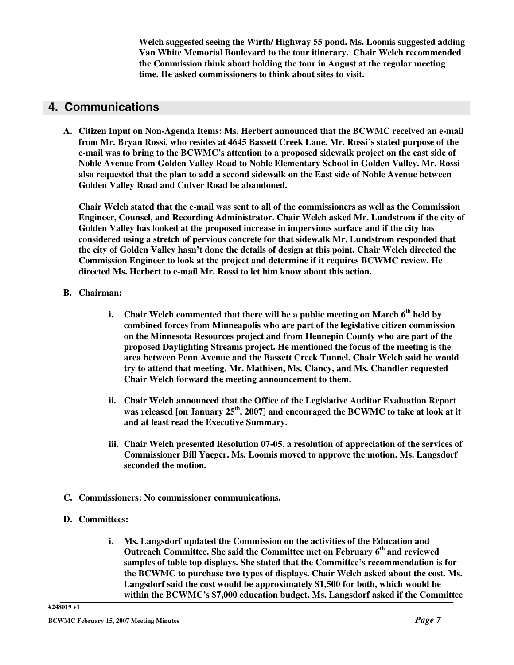**Welch suggested seeing the Wirth/ Highway 55 pond. Ms. Loomis suggested adding Van White Memorial Boulevard to the tour itinerary. Chair Welch recommended the Commission think about holding the tour in August at the regular meeting time. He asked commissioners to think about sites to visit.**

## **4. Communications**

**A. Citizen Input on Non-Agenda Items: Ms. Herbert announced that the BCWMC received an e-mail from Mr. Bryan Rossi, who resides at 4645 Bassett Creek Lane. Mr. Rossi's stated purpose of the e-mail was to bring to the BCWMC's attention to a proposed sidewalk project on the east side of Noble Avenue from Golden Valley Road to Noble Elementary School in Golden Valley. Mr. Rossi also requested that the plan to add a second sidewalk on the East side of Noble Avenue between Golden Valley Road and Culver Road be abandoned.**

**Chair Welch stated that the e-mail was sent to all of the commissioners as well as the Commission Engineer, Counsel, and Recording Administrator. Chair Welch asked Mr. Lundstrom if the city of Golden Valley has looked at the proposed increase in impervious surface and if the city has considered using a stretch of pervious concrete for that sidewalk Mr. Lundstrom responded that** the city of Golden Valley hasn't done the details of design at this point. Chair Welch directed the **Commission Engineer to look at the project and determine if it requires BCWMC review. He directed Ms. Herbert to e-mail Mr. Rossi to let him know about this action.**

#### **B. Chairman:**

- **i. Chair Welch commented that there will be a public meeting on March 6 th held by combined forces from Minneapolis who are part of the legislative citizen commission on the Minnesota Resources project and from Hennepin County who are part of the proposed Daylighting Streams project. He mentioned the focus of the meeting is the area between Penn Avenue and the Bassett Creek Tunnel. Chair Welch said he would try to attend that meeting. Mr. Mathisen, Ms. Clancy, and Ms. Chandler requested Chair Welch forward the meeting announcement to them.**
- **ii. Chair Welch announced that the Office of the Legislative Auditor Evaluation Report was released [on January 25 th , 2007] and encouraged the BCWMC to take at look at it and at least read the Executive Summary.**
- **iii. Chair Welch presented Resolution 07-05, a resolution of appreciation of the services of Commissioner Bill Yaeger. Ms. Loomis moved to approve the motion. Ms. Langsdorf seconded the motion.**
- **C. Commissioners: No commissioner communications.**

#### **D. Committees:**

**i. Ms. Langsdorf updated the Commission on the activities of the Education and Outreach Committee. She said the Committee met on February 6 th and reviewed samples of table top displays. She stated that the Committee's recommendation is for the BCWMC to purchase two types of displays. Chair Welch asked about the cost. Ms. Langsdorf said the cost would be approximately \$1,500 for both, which would be within the BCWMC's \$7,000 education budget. Ms. Langsdorf asked if the Committee**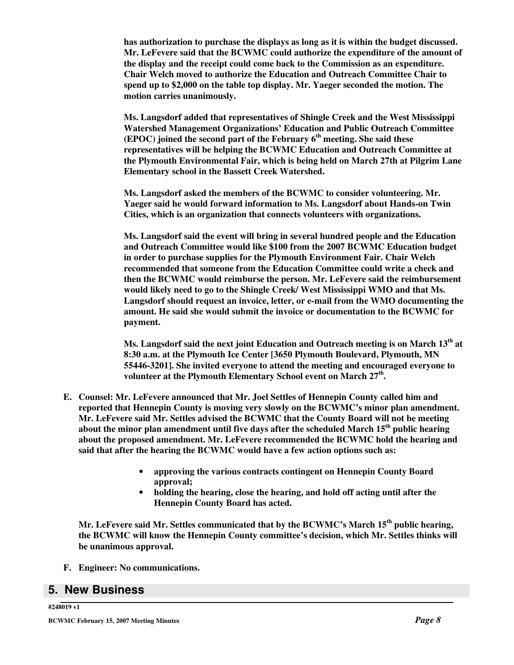**has authorization to purchase the displays as long as it is within the budget discussed. Mr. LeFevere said that the BCWMC could authorize the expenditure of the amount of the display and the receipt could come back to the Commission as an expenditure. Chair Welch moved to authorize the Education and Outreach Committee Chair to spend up to \$2,000 on the table top display. Mr. Yaeger seconded the motion. The motion carries unanimously.**

**Ms. Langsdorf added that representatives of Shingle Creek and the West Mississippi Watershed Management Organizations' Education and Public Outreach Committee (EPOC) joined the second part of the February 6 th meeting. She said these representatives will be helping the BCWMC Education and Outreach Committee at the Plymouth Environmental Fair, which is being held on March 27th at Pilgrim Lane Elementary school in the Bassett Creek Watershed.**

**Ms. Langsdorf asked the members of the BCWMC to consider volunteering. Mr. Yaeger said he would forward information to Ms. Langsdorf about Hands-on Twin Cities, which is an organization that connects volunteers with organizations.**

**Ms. Langsdorf said the event will bring in several hundred people and the Education and Outreach Committee would like \$100 from the 2007 BCWMC Education budget in order to purchase supplies for the Plymouth Environment Fair. Chair Welch recommended that someone from the Education Committee could write a check and then the BCWMC would reimburse the person. Mr. LeFevere said the reimbursement would likely need to go to the Shingle Creek/ West Mississippi WMO and that Ms. Langsdorf should request an invoice, letter, or e-mail from the WMO documenting the amount. He said she would submit the invoice or documentation to the BCWMC for payment.**

**Ms. Langsdorf said the next joint Education and Outreach meeting is on March 13 th at 8:30 a.m. at the Plymouth Ice Center [3650 Plymouth Boulevard, Plymouth, MN 55446-3201]. She invited everyone to attend the meeting and encouraged everyone to volunteer at the Plymouth Elementary School event on March 27 th .**

- **E. Counsel: Mr. LeFevere announced that Mr. Joel Settles of Hennepin County called him and reported that Hennepin County is moving very slowly on the BCWMC's minor plan amendment. Mr. LeFevere said Mr. Settles advised the BCWMC that the County Board will not be meeting about the minor plan amendment until five days after the scheduled March 15 th public hearing about the proposed amendment. Mr. LeFevere recommended the BCWMC hold the hearing and said that after the hearing the BCWMC would have a few action options such as:**
	- **approving the various contracts contingent on Hennepin County Board approval;**
	- **holding the hearing, close the hearing, and hold off acting until after the Hennepin County Board has acted.**

**Mr. LeFevere said Mr. Settles communicated that by the BCWMC's March 15 th public hearing, the BCWMC will know the Hennepin County committee's decision, which Mr. Settles thinks will be unanimous approval.**

**F. Engineer: No communications.**

### **5. New Business**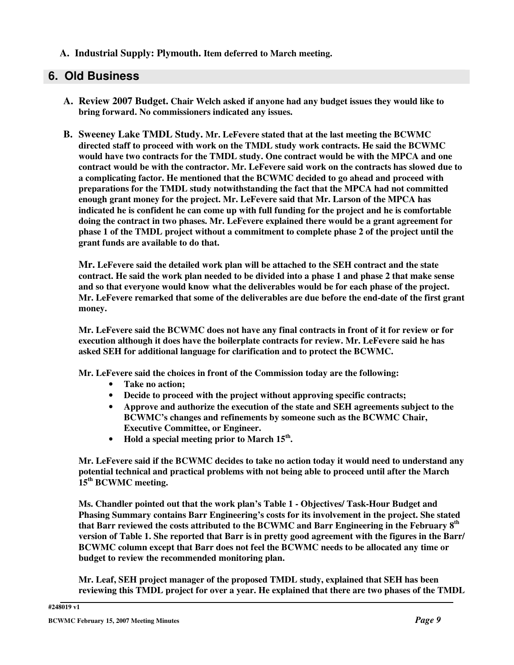**A. Industrial Supply: Plymouth. Item deferred to March meeting.**

# **6. Old Business**

- **A. Review 2007 Budget. Chair Welch asked if anyone had any budget issues they would like to bring forward. No commissioners indicated any issues.**
- **B. Sweeney Lake TMDL Study. Mr. LeFevere stated that at the last meeting the BCWMC directed staff to proceed with work on the TMDL study work contracts. He said the BCWMC would have two contracts for the TMDL study. One contract would be with the MPCA and one contract would be with the contractor. Mr. LeFevere said work on the contracts has slowed due to a complicating factor. He mentioned that the BCWMC decided to go ahead and proceed with preparations for the TMDL study notwithstanding the fact that the MPCA had not committed enough grant money for the project. Mr. LeFevere said that Mr. Larson of the MPCA has indicated he is confident he can come up with full funding for the project and he is comfortable doing the contract in two phases. Mr. LeFevere explained there would be a grant agreement for phase 1 of the TMDL project without a commitment to complete phase 2 of the project until the grant funds are available to do that.**

**Mr. LeFevere said the detailed work plan will be attached to the SEH contract and the state** contract. He said the work plan needed to be divided into a phase 1 and phase 2 that make sense **and so that everyone would know what the deliverables would be for each phase of the project. Mr. LeFevere remarked that some of the deliverables are due before the end-date of the first grant money.**

Mr. LeFevere said the BCWMC does not have any final contracts in front of it for review or for **execution although it does have the boilerplate contracts for review. Mr. LeFevere said he has asked SEH for additional language for clarification and to protect the BCWMC.**

**Mr. LeFevere said the choices in front of the Commission today are the following:**

- **Take no action;**
- **Decide to proceed with the project without approving specific contracts;**
- **Approve and authorize the execution of the state and SEH agreements subject to the BCWMC's changes and refinements by someone such as the BCWMC Chair, Executive Committee, or Engineer.**
- **Hold a special meeting prior to March 15 th .**

**Mr. LeFevere said if the BCWMC decides to take no action today it would need to understand any potential technical and practical problems with not being able to proceed until after the March 15 th BCWMC meeting.**

**Ms. Chandler pointed out that the work plan's Table 1 - Objectives/ Task-Hour Budget and Phasing Summary contains Barr Engineering's costs for its involvement in the project. She stated that Barr reviewed the costs attributed to the BCWMC and Barr Engineering in the February 8 th** version of Table 1. She reported that Barr is in pretty good agreement with the figures in the Barr/ **BCWMC column except that Barr does not feel the BCWMC needs to be allocated any time or budget to review the recommended monitoring plan.**

**Mr. Leaf, SEH project manager of the proposed TMDL study, explained that SEH has been reviewing this TMDL project for over a year. He explained that there are two phases of the TMDL**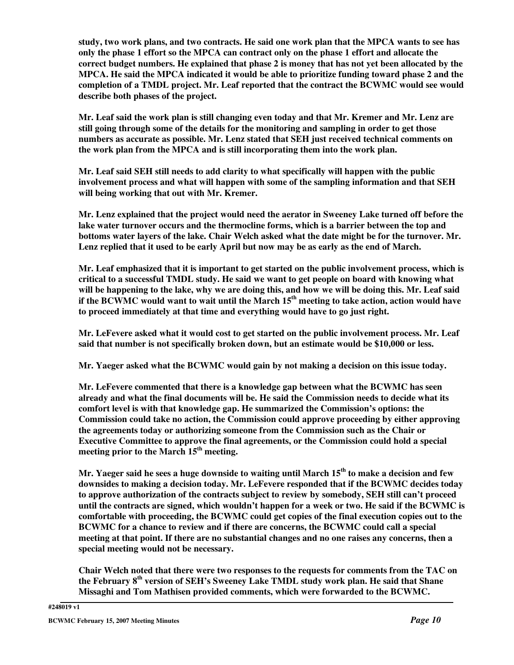study, two work plans, and two contracts. He said one work plan that the MPCA wants to see has only the phase 1 effort so the MPCA can contract only on the phase 1 effort and allocate the **correct budget numbers. He explained that phase 2 is money that has not yet been allocated by the MPCA. He said the MPCA indicated it would be able to prioritize funding toward phase 2 and the completion of a TMDL project. Mr. Leaf reported that the contract the BCWMC would see would describe both phases of the project.**

Mr. Leaf said the work plan is still changing even today and that Mr. Kremer and Mr. Lenz are **still going through some of the details for the monitoring and sampling in order to get those numbers as accurate as possible. Mr. Lenz stated that SEH just received technical comments on the work plan from the MPCA and is still incorporating them into the work plan.**

**Mr. Leaf said SEH still needs to add clarity to what specifically will happen with the public involvement process and what will happen with some of the sampling information and that SEH will being working that out with Mr. Kremer.**

**Mr. Lenz explained that the project would need the aerator in Sweeney Lake turned off before the lake water turnover occurs and the thermocline forms, which is a barrier between the top and bottoms water layers of the lake. Chair Welch asked what the date might be for the turnover. Mr.** Lenz replied that it used to be early April but now may be as early as the end of March.

**Mr. Leaf emphasized that it is important to get started on the public involvement process, which is critical to a successful TMDL study. He said we want to get people on board with knowing what** will be happening to the lake, why we are doing this, and how we will be doing this. Mr. Leaf said if the BCWMC would want to wait until the March  $15^{\rm th}$  meeting to take action, action would have **to proceed immediately at that time and everything would have to go just right.**

**Mr. LeFevere asked what it would cost to get started on the public involvement process. Mr. Leaf said that number is not specifically broken down, but an estimate would be \$10,000 or less.**

**Mr. Yaeger asked what the BCWMC would gain by not making a decision on this issue today.**

**Mr. LeFevere commented that there is a knowledge gap between what the BCWMC has seen already and what the final documents will be. He said the Commission needs to decide what its comfort level is with that knowledge gap. He summarized the Commission's options: the Commission could take no action, the Commission could approve proceeding by either approving the agreements today or authorizing someone from the Commission such as the Chair or Executive Committee to approve the final agreements, or the Commission could hold a special meeting prior to the March 15 th meeting.**

Mr. Yaeger said he sees a huge downside to waiting until March 15<sup>th</sup> to make a decision and few **downsides to making a decision today. Mr. LeFevere responded that if the BCWMC decides today to approve authorization of the contracts subject to review by somebody, SEH still can't proceed** until the contracts are signed, which wouldn't happen for a week or two. He said if the BCWMC is **comfortable with proceeding, the BCWMC could get copies of the final execution copies out to the BCWMC for a chance to review and if there are concerns, the BCWMC could call a special meeting at that point. If there are no substantial changes and no one raises any concerns, then a special meeting would not be necessary.**

**Chair Welch noted that there were two responses to the requests for comments from the TAC on the February 8 th version of SEH's Sweeney Lake TMDL study work plan. He said that Shane Missaghi and Tom Mathisen provided comments, which were forwarded to the BCWMC.**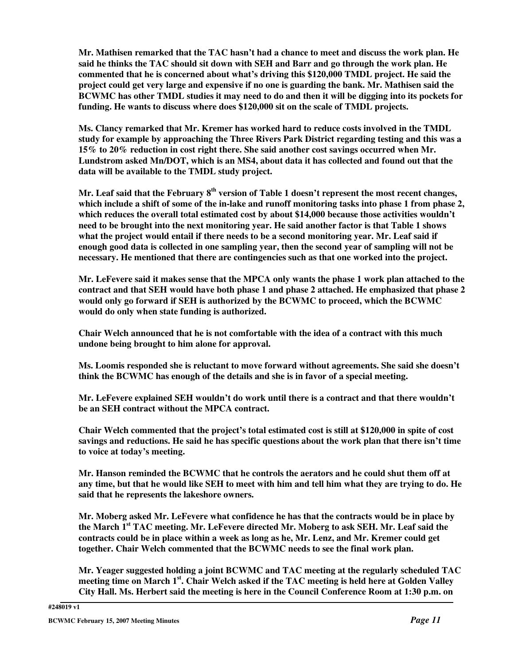**Mr. Mathisen remarked that the TAC hasn't had a chance to meet and discuss the work plan. He said he thinks the TAC should sit down with SEH and Barr and go through the work plan. He commented that he is concerned about what's driving this \$120,000 TMDL project. He said the project could get very large and expensive if no one is guarding the bank. Mr. Mathisen said the** BCWMC has other TMDL studies it may need to do and then it will be digging into its pockets for **funding. He wants to discuss where does \$120,000 sit on the scale of TMDL projects.**

**Ms. Clancy remarked that Mr. Kremer has worked hard to reduce costs involved in the TMDL study for example by approaching the Three Rivers Park District regarding testing and this was a 15% to 20% reduction in cost right there. She said another cost savings occurred when Mr. Lundstrom asked Mn/DOT, which is an MS4, about data it has collected and found out that the data will be available to the TMDL study project.**

**Mr. Leaf said that the February 8 th version of Table 1 doesn't represent the most recent changes,** which include a shift of some of the in-lake and runoff monitoring tasks into phase 1 from phase 2, **which reduces the overall total estimated cost by about \$14,000 because those activities wouldn't need to be brought into the next monitoring year. He said another factor is that Table 1 shows what the project would entail if there needs to be a second monitoring year. Mr. Leaf said if enough good data is collected in one sampling year, then the second year of sampling will not be necessary. He mentioned that there are contingencies such as that one worked into the project.**

Mr. LeFevere said it makes sense that the MPCA only wants the phase 1 work plan attached to the **contract and that SEH would have both phase 1 and phase 2 attached. He emphasized that phase 2 would only go forward if SEH is authorized by the BCWMC to proceed, which the BCWMC would do only when state funding is authorized.**

**Chair Welch announced that he is not comfortable with the idea of a contract with this much undone being brought to him alone for approval.**

**Ms. Loomis responded she is reluctant to move forward without agreements. She said she doesn't think the BCWMC has enough of the details and she is in favor of a special meeting.**

**Mr. LeFevere explained SEH wouldn't do work until there is a contract and that there wouldn't be an SEH contract without the MPCA contract.**

**Chair Welch commented that the project's total estimated cost is still at \$120,000 in spite of cost savings and reductions. He said he has specific questions about the work plan that there isn't time to voice at today's meeting.**

**Mr. Hanson reminded the BCWMC that he controls the aerators and he could shut them off at** any time, but that he would like SEH to meet with him and tell him what they are trying to do. He **said that he represents the lakeshore owners.**

**Mr. Moberg asked Mr. LeFevere what confidence he has that the contracts would be in place by the March 1 st TAC meeting. Mr. LeFevere directed Mr. Moberg to ask SEH. Mr. Leaf said the contracts could be in place within a week as long as he, Mr. Lenz, and Mr. Kremer could get together. Chair Welch commented that the BCWMC needs to see the final work plan.**

**Mr. Yeager suggested holding a joint BCWMC and TAC meeting at the regularly scheduled TAC** meeting time on March 1st. Chair Welch asked if the TAC meeting is held here at Golden Valley **City Hall. Ms. Herbert said the meeting is here in the Council Conference Room at 1:30 p.m. on**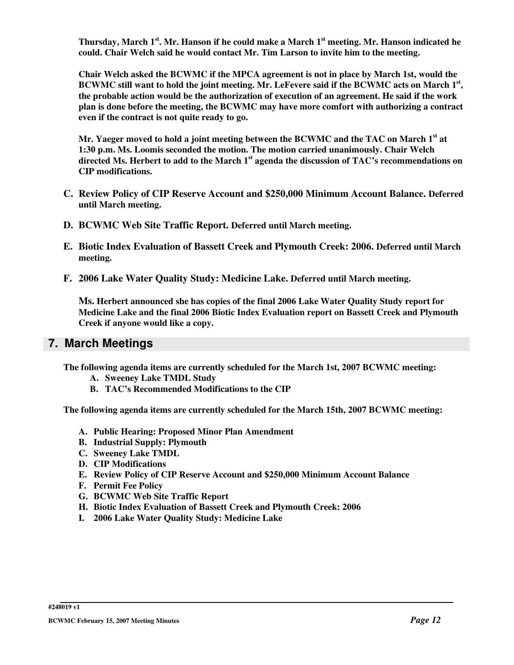Thursday, March 1st. Mr. Hanson if he could make a March 1st meeting. Mr. Hanson indicated he **could. Chair Welch said he would contact Mr. Tim Larson to invite him to the meeting.**

**Chair Welch asked the BCWMC if the MPCA agreement is not in place by March 1st, would the**  $\rm BCMMC$  still want to hold the joint meeting. Mr. LeFevere said if the  $\rm BCMMC$  acts on March  $1^{\rm st},$ **the probable action would be the authorization of execution of an agreement. He said if the work plan is done before the meeting, the BCWMC may have more comfort with authorizing a contract even if the contract is not quite ready to go.**

**Mr. Yaeger moved to hold a joint meeting between the BCWMC and the TAC on March 1 st at 1:30 p.m. Ms. Loomis seconded the motion. The motion carried unanimously. Chair Welch directed Ms. Herbert to add to the March 1 st agenda the discussion of TAC's recommendations on CIP modifications.**

- **C. Review Policy of CIP Reserve Account and \$250,000 Minimum Account Balance. Deferred until March meeting.**
- **D. BCWMC Web Site Traffic Report. Deferred until March meeting.**
- **E. Biotic Index Evaluation of Bassett Creek and Plymouth Creek: 2006. Deferred until March meeting.**
- **F. 2006 Lake Water Quality Study: Medicine Lake. Deferred until March meeting.**

**Ms. Herbert announced she has copies of the final 2006 Lake Water Quality Study report for Medicine Lake and the final 2006 Biotic Index Evaluation report on Bassett Creek and Plymouth Creek if anyone would like a copy.**

### **7. March Meetings**

**The following agenda items are currently scheduled for the March 1st, 2007 BCWMC meeting:**

- **A. Sweeney Lake TMDL Study**
- **B. TAC's Recommended Modifications to the CIP**

**The following agenda items are currently scheduled for the March 15th, 2007 BCWMC meeting:**

- **A. Public Hearing: Proposed Minor Plan Amendment**
- **B. Industrial Supply: Plymouth**
- **C. Sweeney Lake TMDL**
- **D. CIP Modifications**
- **E. Review Policy of CIP Reserve Account and \$250,000 Minimum Account Balance**
- **F. Permit Fee Policy**
- **G. BCWMC Web Site Traffic Report**
- **H. Biotic Index Evaluation of Bassett Creek and Plymouth Creek: 2006**
- **I. 2006 Lake Water Quality Study: Medicine Lake**